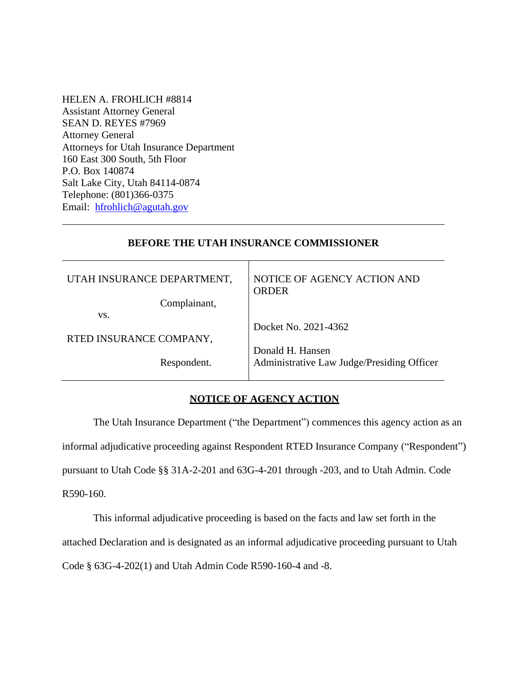HELEN A. FROHLICH #8814 Assistant Attorney General SEAN D. REYES #7969 Attorney General Attorneys for Utah Insurance Department 160 East 300 South, 5th Floor P.O. Box 140874 Salt Lake City, Utah 84114-0874 Telephone: (801)366-0375 Email: [hfrohlich@agutah.gov](mailto:hfrohlich@agutah.gov)

### **BEFORE THE UTAH INSURANCE COMMISSIONER**

Т

| UTAH INSURANCE DEPARTMENT,<br>Complainant, | NOTICE OF AGENCY ACTION AND<br><b>ORDER</b> |
|--------------------------------------------|---------------------------------------------|
| VS.                                        |                                             |
|                                            | Docket No. 2021-4362                        |
| RTED INSURANCE COMPANY,                    |                                             |
|                                            | Donald H. Hansen                            |
| Respondent.                                | Administrative Law Judge/Presiding Officer  |
|                                            |                                             |

# **NOTICE OF AGENCY ACTION**

The Utah Insurance Department ("the Department") commences this agency action as an informal adjudicative proceeding against Respondent RTED Insurance Company ("Respondent") pursuant to Utah Code §§ 31A-2-201 and 63G-4-201 through -203, and to Utah Admin. Code R590-160.

This informal adjudicative proceeding is based on the facts and law set forth in the attached Declaration and is designated as an informal adjudicative proceeding pursuant to Utah Code § 63G-4-202(1) and Utah Admin Code R590-160-4 and -8.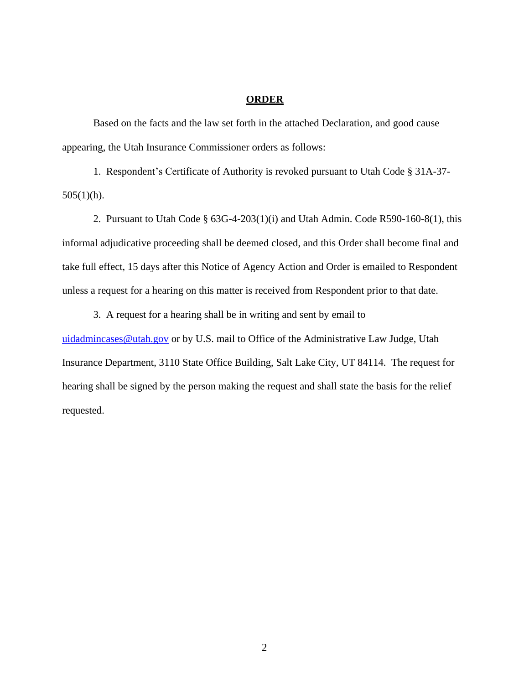#### **ORDER**

Based on the facts and the law set forth in the attached Declaration, and good cause appearing, the Utah Insurance Commissioner orders as follows:

1. Respondent's Certificate of Authority is revoked pursuant to Utah Code § 31A-37-  $505(1)(h)$ .

2. Pursuant to Utah Code § 63G-4-203(1)(i) and Utah Admin. Code R590-160-8(1), this informal adjudicative proceeding shall be deemed closed, and this Order shall become final and take full effect, 15 days after this Notice of Agency Action and Order is emailed to Respondent unless a request for a hearing on this matter is received from Respondent prior to that date.

3. A request for a hearing shall be in writing and sent by email to

[uidadmincases@utah.gov](mailto:uidadmincases@utah.gov) or by U.S. mail to Office of the Administrative Law Judge, Utah Insurance Department, 3110 State Office Building, Salt Lake City, UT 84114. The request for hearing shall be signed by the person making the request and shall state the basis for the relief requested.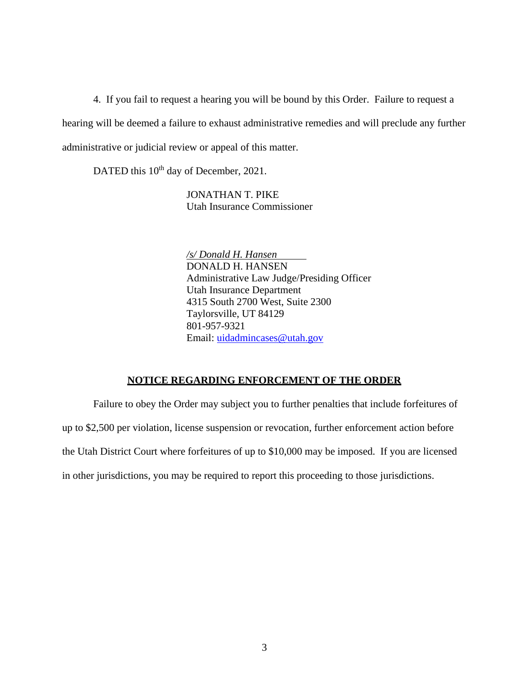4. If you fail to request a hearing you will be bound by this Order. Failure to request a hearing will be deemed a failure to exhaust administrative remedies and will preclude any further administrative or judicial review or appeal of this matter.

DATED this 10<sup>th</sup> day of December, 2021.

JONATHAN T. PIKE Utah Insurance Commissioner

*/s/ Donald H. Hansen* DONALD H. HANSEN Administrative Law Judge/Presiding Officer Utah Insurance Department 4315 South 2700 West, Suite 2300 Taylorsville, UT 84129 801-957-9321 Email: [uidadmincases@utah.gov](mailto:uidadmincases@utah.gov)

### **NOTICE REGARDING ENFORCEMENT OF THE ORDER**

Failure to obey the Order may subject you to further penalties that include forfeitures of up to \$2,500 per violation, license suspension or revocation, further enforcement action before the Utah District Court where forfeitures of up to \$10,000 may be imposed. If you are licensed in other jurisdictions, you may be required to report this proceeding to those jurisdictions.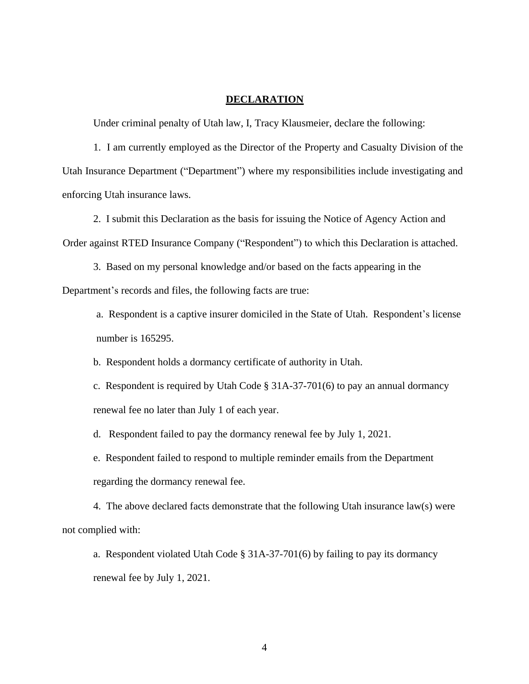### **DECLARATION**

Under criminal penalty of Utah law, I, Tracy Klausmeier, declare the following:

1. I am currently employed as the Director of the Property and Casualty Division of the Utah Insurance Department ("Department") where my responsibilities include investigating and enforcing Utah insurance laws.

2. I submit this Declaration as the basis for issuing the Notice of Agency Action and Order against RTED Insurance Company ("Respondent") to which this Declaration is attached.

3. Based on my personal knowledge and/or based on the facts appearing in the Department's records and files, the following facts are true:

a. Respondent is a captive insurer domiciled in the State of Utah. Respondent's license number is 165295.

b. Respondent holds a dormancy certificate of authority in Utah.

c. Respondent is required by Utah Code § 31A-37-701(6) to pay an annual dormancy renewal fee no later than July 1 of each year.

d. Respondent failed to pay the dormancy renewal fee by July 1, 2021.

e. Respondent failed to respond to multiple reminder emails from the Department regarding the dormancy renewal fee.

4. The above declared facts demonstrate that the following Utah insurance law(s) were not complied with:

a. Respondent violated Utah Code  $\S 31A-37-701(6)$  by failing to pay its dormancy renewal fee by July 1, 2021.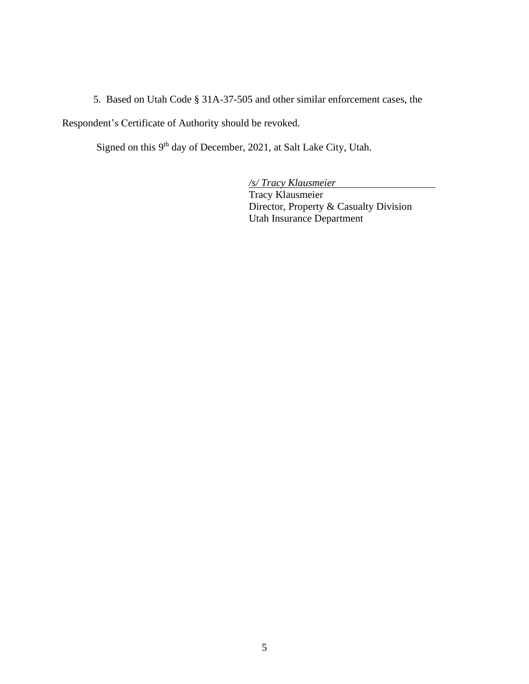5. Based on Utah Code § 31A-37-505 and other similar enforcement cases, the

Respondent's Certificate of Authority should be revoked.

Signed on this 9<sup>th</sup> day of December, 2021, at Salt Lake City, Utah.

*/s/ Tracy Klausmeier* 

Tracy Klausmeier Director, Property & Casualty Division Utah Insurance Department